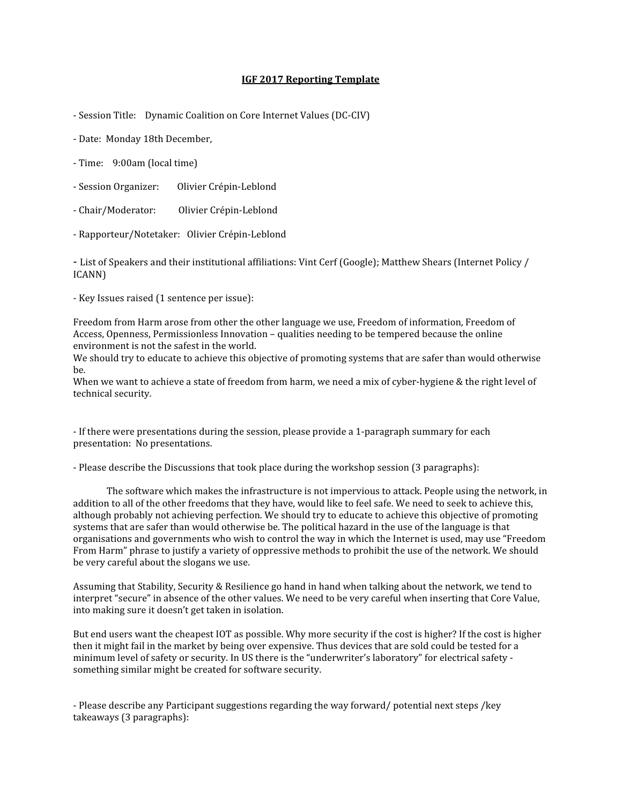## IGF 2017 Reporting Template

- Session Title: Dynamic Coalition on Core Internet Values (DC-CIV)

- Date: Monday 18th December,
- Time: 9:00am (local time)
- Session Organizer: Olivier Crépin-Leblond
- Chair/Moderator: Olivier Crépin-Leblond
- Rapporteur/Notetaker: Olivier Crépin-Leblond

- List of Speakers and their institutional affiliations: Vint Cerf (Google); Matthew Shears (Internet Policy / ICANN)

- Key Issues raised (1 sentence per issue):

Freedom from Harm arose from other the other language we use, Freedom of information, Freedom of Access, Openness, Permissionless Innovation – qualities needing to be tempered because the online environment is not the safest in the world.

We should try to educate to achieve this objective of promoting systems that are safer than would otherwise be.

When we want to achieve a state of freedom from harm, we need a mix of cyber-hygiene & the right level of technical security.

- If there were presentations during the session, please provide a 1-paragraph summary for each presentation: No presentations.

- Please describe the Discussions that took place during the workshop session (3 paragraphs):

 The software which makes the infrastructure is not impervious to attack. People using the network, in addition to all of the other freedoms that they have, would like to feel safe. We need to seek to achieve this, although probably not achieving perfection. We should try to educate to achieve this objective of promoting systems that are safer than would otherwise be. The political hazard in the use of the language is that organisations and governments who wish to control the way in which the Internet is used, may use "Freedom From Harm" phrase to justify a variety of oppressive methods to prohibit the use of the network. We should be very careful about the slogans we use.

Assuming that Stability, Security & Resilience go hand in hand when talking about the network, we tend to interpret "secure" in absence of the other values. We need to be very careful when inserting that Core Value, into making sure it doesn't get taken in isolation.

But end users want the cheapest IOT as possible. Why more security if the cost is higher? If the cost is higher then it might fail in the market by being over expensive. Thus devices that are sold could be tested for a minimum level of safety or security. In US there is the "underwriter's laboratory" for electrical safety something similar might be created for software security.

- Please describe any Participant suggestions regarding the way forward/ potential next steps /key takeaways (3 paragraphs):